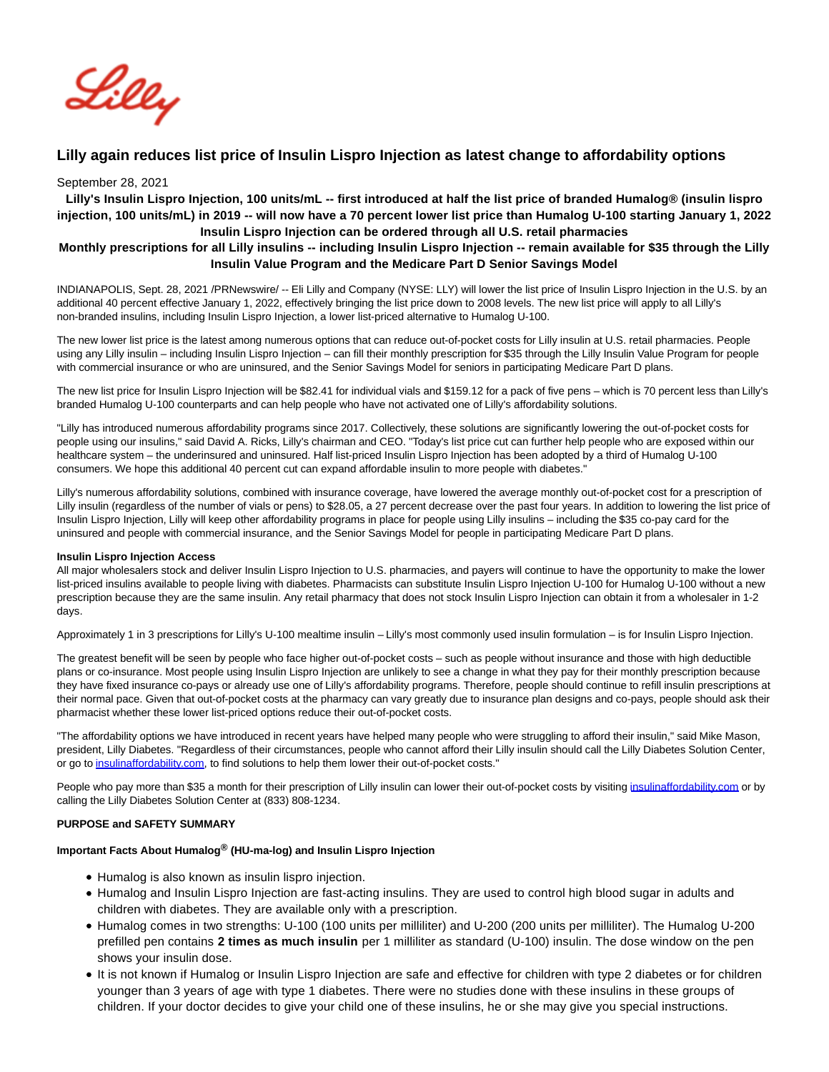

# **Lilly again reduces list price of Insulin Lispro Injection as latest change to affordability options**

## September 28, 2021

**Lilly's Insulin Lispro Injection, 100 units/mL -- first introduced at half the list price of branded Humalog® (insulin lispro injection, 100 units/mL) in 2019 -- will now have a 70 percent lower list price than Humalog U-100 starting January 1, 2022 Insulin Lispro Injection can be ordered through all U.S. retail pharmacies**

# **Monthly prescriptions for all Lilly insulins -- including Insulin Lispro Injection -- remain available for \$35 through the Lilly Insulin Value Program and the Medicare Part D Senior Savings Model**

INDIANAPOLIS, Sept. 28, 2021 /PRNewswire/ -- Eli Lilly and Company (NYSE: LLY) will lower the list price of Insulin Lispro Injection in the U.S. by an additional 40 percent effective January 1, 2022, effectively bringing the list price down to 2008 levels. The new list price will apply to all Lilly's non-branded insulins, including Insulin Lispro Injection, a lower list-priced alternative to Humalog U-100.

The new lower list price is the latest among numerous options that can reduce out-of-pocket costs for Lilly insulin at U.S. retail pharmacies. People using any Lilly insulin – including Insulin Lispro Injection – can fill their monthly prescription for \$35 through the Lilly Insulin Value Program for people with commercial insurance or who are uninsured, and the Senior Savings Model for seniors in participating Medicare Part D plans.

The new list price for Insulin Lispro Injection will be \$82.41 for individual vials and \$159.12 for a pack of five pens – which is 70 percent less than Lilly's branded Humalog U-100 counterparts and can help people who have not activated one of Lilly's affordability solutions.

"Lilly has introduced numerous affordability programs since 2017. Collectively, these solutions are significantly lowering the out-of-pocket costs for people using our insulins," said David A. Ricks, Lilly's chairman and CEO. "Today's list price cut can further help people who are exposed within our healthcare system – the underinsured and uninsured. Half list-priced Insulin Lispro Injection has been adopted by a third of Humalog U-100 consumers. We hope this additional 40 percent cut can expand affordable insulin to more people with diabetes."

Lilly's numerous affordability solutions, combined with insurance coverage, have lowered the average monthly out-of-pocket cost for a prescription of Lilly insulin (regardless of the number of vials or pens) to \$28.05, a 27 percent decrease over the past four years. In addition to lowering the list price of Insulin Lispro Injection, Lilly will keep other affordability programs in place for people using Lilly insulins – including the \$35 co-pay card for the uninsured and people with commercial insurance, and the Senior Savings Model for people in participating Medicare Part D plans.

### **Insulin Lispro Injection Access**

All major wholesalers stock and deliver Insulin Lispro Injection to U.S. pharmacies, and payers will continue to have the opportunity to make the lower list-priced insulins available to people living with diabetes. Pharmacists can substitute Insulin Lispro Injection U-100 for Humalog U-100 without a new prescription because they are the same insulin. Any retail pharmacy that does not stock Insulin Lispro Injection can obtain it from a wholesaler in 1-2 days.

Approximately 1 in 3 prescriptions for Lilly's U-100 mealtime insulin – Lilly's most commonly used insulin formulation – is for Insulin Lispro Injection.

The greatest benefit will be seen by people who face higher out-of-pocket costs – such as people without insurance and those with high deductible plans or co-insurance. Most people using Insulin Lispro Injection are unlikely to see a change in what they pay for their monthly prescription because they have fixed insurance co-pays or already use one of Lilly's affordability programs. Therefore, people should continue to refill insulin prescriptions at their normal pace. Given that out-of-pocket costs at the pharmacy can vary greatly due to insurance plan designs and co-pays, people should ask their pharmacist whether these lower list-priced options reduce their out-of-pocket costs.

"The affordability options we have introduced in recent years have helped many people who were struggling to afford their insulin," said Mike Mason, president, Lilly Diabetes. "Regardless of their circumstances, people who cannot afford their Lilly insulin should call the Lilly Diabetes Solution Center, or go to [insulinaffordability.com,](http://insulinaffordability.com/) to find solutions to help them lower their out-of-pocket costs."

People who pay more than \$35 a month for their prescription of Lilly insulin can lower their out-of-pocket costs by visiting [insulinaffordability.com o](https://c212.net/c/link/?t=0&l=en&o=3304263-1&h=1704836447&u=https%3A%2F%2Fwww.insulinaffordability.com%2F&a=insulinaffordability.com)r by calling the Lilly Diabetes Solution Center at (833) 808-1234.

### **PURPOSE and SAFETY SUMMARY**

## **Important Facts About Humalog® (HU-ma-log) and Insulin Lispro Injection**

- Humalog is also known as insulin lispro injection.
- Humalog and Insulin Lispro Injection are fast-acting insulins. They are used to control high blood sugar in adults and children with diabetes. They are available only with a prescription.
- Humalog comes in two strengths: U-100 (100 units per milliliter) and U-200 (200 units per milliliter). The Humalog U-200 prefilled pen contains **2 times as much insulin** per 1 milliliter as standard (U-100) insulin. The dose window on the pen shows your insulin dose.
- It is not known if Humalog or Insulin Lispro Injection are safe and effective for children with type 2 diabetes or for children younger than 3 years of age with type 1 diabetes. There were no studies done with these insulins in these groups of children. If your doctor decides to give your child one of these insulins, he or she may give you special instructions.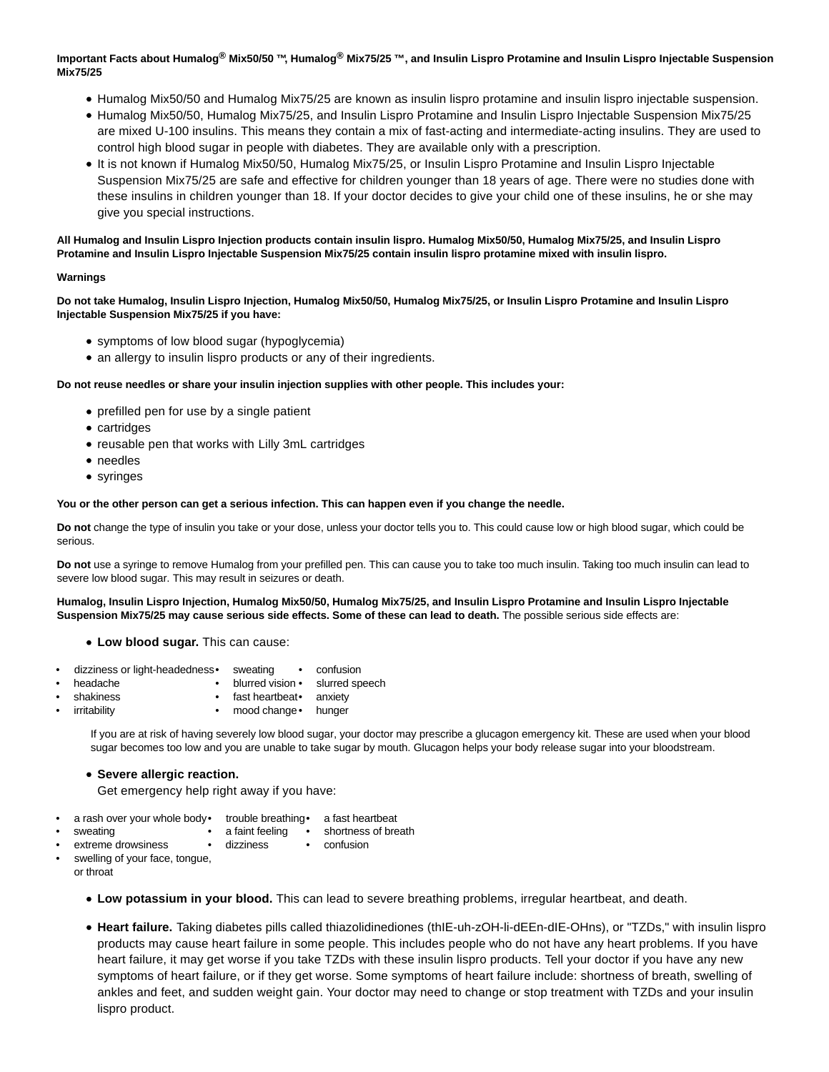## **Important Facts about Humalog® Mix50/50 ™, Humalog® Mix75/25 ™, and Insulin Lispro Protamine and Insulin Lispro Injectable Suspension Mix75/25**

- Humalog Mix50/50 and Humalog Mix75/25 are known as insulin lispro protamine and insulin lispro injectable suspension.
- Humalog Mix50/50, Humalog Mix75/25, and Insulin Lispro Protamine and Insulin Lispro Injectable Suspension Mix75/25 are mixed U-100 insulins. This means they contain a mix of fast-acting and intermediate-acting insulins. They are used to control high blood sugar in people with diabetes. They are available only with a prescription.
- It is not known if Humalog Mix50/50, Humalog Mix75/25, or Insulin Lispro Protamine and Insulin Lispro Injectable Suspension Mix75/25 are safe and effective for children younger than 18 years of age. There were no studies done with these insulins in children younger than 18. If your doctor decides to give your child one of these insulins, he or she may give you special instructions.

**All Humalog and Insulin Lispro Injection products contain insulin lispro. Humalog Mix50/50, Humalog Mix75/25, and Insulin Lispro Protamine and Insulin Lispro Injectable Suspension Mix75/25 contain insulin lispro protamine mixed with insulin lispro.**

## **Warnings**

**Do not take Humalog, Insulin Lispro Injection, Humalog Mix50/50, Humalog Mix75/25, or Insulin Lispro Protamine and Insulin Lispro Injectable Suspension Mix75/25 if you have:**

- symptoms of low blood sugar (hypoglycemia)
- an allergy to insulin lispro products or any of their ingredients.

# **Do not reuse needles or share your insulin injection supplies with other people. This includes your:**

- prefilled pen for use by a single patient
- cartridges
- reusable pen that works with Lilly 3mL cartridges
- needles
- syringes

## **You or the other person can get a serious infection. This can happen even if you change the needle.**

**Do not** change the type of insulin you take or your dose, unless your doctor tells you to. This could cause low or high blood sugar, which could be serious.

**Do not** use a syringe to remove Humalog from your prefilled pen. This can cause you to take too much insulin. Taking too much insulin can lead to severe low blood sugar. This may result in seizures or death.

## **Humalog, Insulin Lispro Injection, Humalog Mix50/50, Humalog Mix75/25, and Insulin Lispro Protamine and Insulin Lispro Injectable Suspension Mix75/25 may cause serious side effects. Some of these can lead to death.** The possible serious side effects are:

- **Low blood sugar.** This can cause:
- dizziness or light-headedness• sweating confusion
- headache blurred vision slurred speech
- shakiness fast heartbeat• anxiety
- irritability mood change hunger

If you are at risk of having severely low blood sugar, your doctor may prescribe a glucagon emergency kit. These are used when your blood sugar becomes too low and you are unable to take sugar by mouth. Glucagon helps your body release sugar into your bloodstream.

# **Severe allergic reaction.**

Get emergency help right away if you have:

- a rash over your whole body• trouble breathing• a fast heartbeat
- - sweating a faint feeling shortness of breath
- extreme drowsiness dizziness confusion
- swelling of your face, tongue, or throat
	- **Low potassium in your blood.** This can lead to severe breathing problems, irregular heartbeat, and death.
	- **Heart failure.** Taking diabetes pills called thiazolidinediones (thIE-uh-zOH-li-dEEn-dIE-OHns), or "TZDs," with insulin lispro products may cause heart failure in some people. This includes people who do not have any heart problems. If you have heart failure, it may get worse if you take TZDs with these insulin lispro products. Tell your doctor if you have any new symptoms of heart failure, or if they get worse. Some symptoms of heart failure include: shortness of breath, swelling of ankles and feet, and sudden weight gain. Your doctor may need to change or stop treatment with TZDs and your insulin lispro product.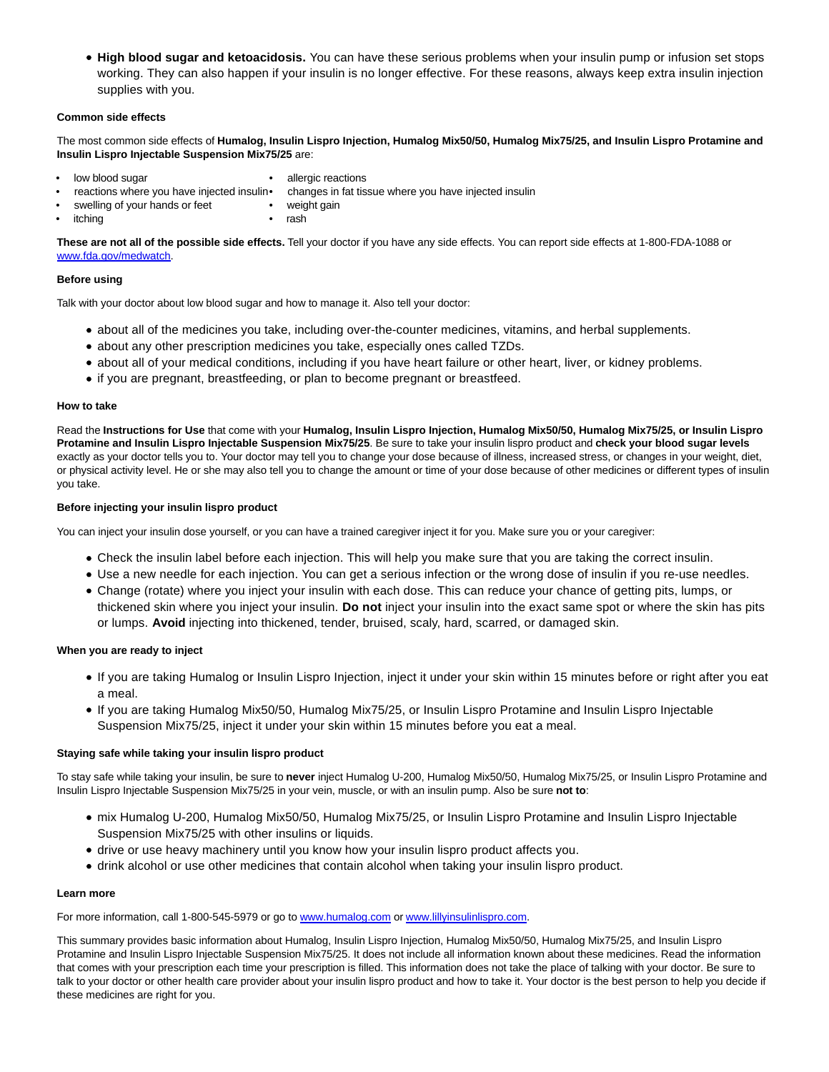**High blood sugar and ketoacidosis.** You can have these serious problems when your insulin pump or infusion set stops working. They can also happen if your insulin is no longer effective. For these reasons, always keep extra insulin injection supplies with you.

## **Common side effects**

The most common side effects of **Humalog, Insulin Lispro Injection, Humalog Mix50/50, Humalog Mix75/25, and Insulin Lispro Protamine and Insulin Lispro Injectable Suspension Mix75/25** are:

- low blood sugar allergic reactions
	-
- reactions where you have injected insulin• changes in fat tissue where you have injected insulin
- swelling of your hands or feet weight gain • itching • rash
	-

**These are not all of the possible side effects.** Tell your doctor if you have any side effects. You can report side effects at 1-800-FDA-1088 or [www.fda.gov/medwatch.](https://c212.net/c/link/?t=0&l=en&o=3304263-1&h=1686243972&u=http%3A%2F%2Fwww.fda.gov%2Fmedwatch&a=www.fda.gov%2Fmedwatch)

## **Before using**

Talk with your doctor about low blood sugar and how to manage it. Also tell your doctor:

- about all of the medicines you take, including over-the-counter medicines, vitamins, and herbal supplements.
- about any other prescription medicines you take, especially ones called TZDs.
- about all of your medical conditions, including if you have heart failure or other heart, liver, or kidney problems.
- if you are pregnant, breastfeeding, or plan to become pregnant or breastfeed.

### **How to take**

Read the **Instructions for Use** that come with your **Humalog, Insulin Lispro Injection, Humalog Mix50/50, Humalog Mix75/25, or Insulin Lispro Protamine and Insulin Lispro Injectable Suspension Mix75/25**. Be sure to take your insulin lispro product and **check your blood sugar levels** exactly as your doctor tells you to. Your doctor may tell you to change your dose because of illness, increased stress, or changes in your weight, diet, or physical activity level. He or she may also tell you to change the amount or time of your dose because of other medicines or different types of insulin you take.

## **Before injecting your insulin lispro product**

You can inject your insulin dose yourself, or you can have a trained caregiver inject it for you. Make sure you or your caregiver:

- Check the insulin label before each injection. This will help you make sure that you are taking the correct insulin.
- Use a new needle for each injection. You can get a serious infection or the wrong dose of insulin if you re-use needles.
- Change (rotate) where you inject your insulin with each dose. This can reduce your chance of getting pits, lumps, or thickened skin where you inject your insulin. **Do not** inject your insulin into the exact same spot or where the skin has pits or lumps. **Avoid** injecting into thickened, tender, bruised, scaly, hard, scarred, or damaged skin.

### **When you are ready to inject**

- If you are taking Humalog or Insulin Lispro Injection, inject it under your skin within 15 minutes before or right after you eat a meal.
- If you are taking Humalog Mix50/50, Humalog Mix75/25, or Insulin Lispro Protamine and Insulin Lispro Injectable Suspension Mix75/25, inject it under your skin within 15 minutes before you eat a meal.

### **Staying safe while taking your insulin lispro product**

To stay safe while taking your insulin, be sure to **never** inject Humalog U-200, Humalog Mix50/50, Humalog Mix75/25, or Insulin Lispro Protamine and Insulin Lispro Injectable Suspension Mix75/25 in your vein, muscle, or with an insulin pump. Also be sure **not to**:

- mix Humalog U-200, Humalog Mix50/50, Humalog Mix75/25, or Insulin Lispro Protamine and Insulin Lispro Injectable Suspension Mix75/25 with other insulins or liquids.
- drive or use heavy machinery until you know how your insulin lispro product affects you.
- drink alcohol or use other medicines that contain alcohol when taking your insulin lispro product.

### **Learn more**

For more information, call 1-800-545-5979 or go to [www.humalog.com o](https://c212.net/c/link/?t=0&l=en&o=3304263-1&h=4199125916&u=http%3A%2F%2Fwww.humalog.com%2F&a=www.humalog.com)r [www.lillyinsulinlispro.com.](https://c212.net/c/link/?t=0&l=en&o=3304263-1&h=687494524&u=https%3A%2F%2Fwww.lillyinsulinlispro.com%2F&a=www.lillyinsulinlispro.com)

This summary provides basic information about Humalog, Insulin Lispro Injection, Humalog Mix50/50, Humalog Mix75/25, and Insulin Lispro Protamine and Insulin Lispro Injectable Suspension Mix75/25. It does not include all information known about these medicines. Read the information that comes with your prescription each time your prescription is filled. This information does not take the place of talking with your doctor. Be sure to talk to your doctor or other health care provider about your insulin lispro product and how to take it. Your doctor is the best person to help you decide if these medicines are right for you.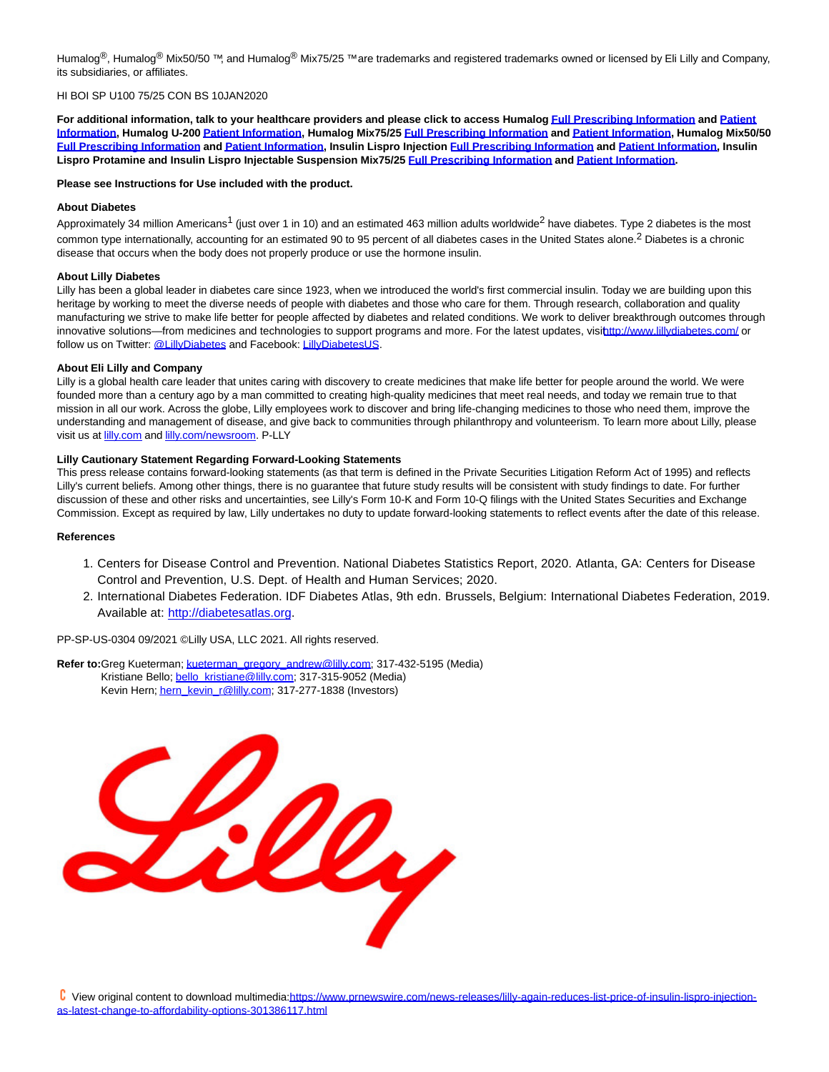Humalog<sup>®</sup>, Humalog<sup>®</sup> Mix50/50 ™, and Humalog<sup>®</sup> Mix75/25 ™ are trademarks and registered trademarks owned or licensed by Eli Lilly and Company, its subsidiaries, or affiliates.

### HI BOI SP U100 75/25 CON BS 10JAN2020

**For additional information, talk to your healthcare providers and please click to access Humalo[g Full Prescribing Information](https://c212.net/c/link/?t=0&l=en&o=3304263-1&h=2300387098&u=http%3A%2F%2Fuspl.lilly.com%2Fhumalog%2Fhumalog.html%3Fs%3Dpi&a=Full+Prescribing+Information) and [Patient](https://c212.net/c/link/?t=0&l=en&o=3304263-1&h=1595305397&u=http%3A%2F%2Fuspl.lilly.com%2Fhumalog%2Fhumalog.html%3Fs%3Dppi0&a=Patient+Information) Information, Humalog U-20[0 Patient Information,](https://c212.net/c/link/?t=0&l=en&o=3304263-1&h=2595644717&u=http%3A%2F%2Fuspl.lilly.com%2Fhumalog%2Fhumalog.html%3FS%3Dppi1&a=Patient+Information) Humalog Mix75/25 [Full Prescribing Information](https://c212.net/c/link/?t=0&l=en&o=3304263-1&h=1024210005&u=http%3A%2F%2Fuspl.lilly.com%2Fhumalog7525%2Fhumalog7525.html%3Fs%3Dpi&a=Full+Prescribing+Information) an[d Patient Information,](https://c212.net/c/link/?t=0&l=en&o=3304263-1&h=2931052104&u=http%3A%2F%2Fuspl.lilly.com%2Fhumalog7525%2Fhumalog7525.html%3Fs%3Dppi&a=Patient+Information) Humalog Mix50/50 [Full Prescribing Information](https://c212.net/c/link/?t=0&l=en&o=3304263-1&h=3020694662&u=http%3A%2F%2Fuspl.lilly.com%2Fhumalog5050%2Fhumalog5050.html%3Fs%3Dpi&a=Full+Prescribing+Information) an[d Patient Information,](https://c212.net/c/link/?t=0&l=en&o=3304263-1&h=787441327&u=http%3A%2F%2Fuspl.lilly.com%2Fhumalog5050%2Fhumalog5050.html%3FS%3Dppi&a=Patient+Information) Insulin Lispro Injection [Full Prescribing Information](https://c212.net/c/link/?t=0&l=en&o=3304263-1&h=262720496&u=http%3A%2F%2Fuspl.lilly.com%2Flispro%2Flispro.html%3Fs%3Dpi&a=Full+Prescribing+Information) and [Patient Information,](https://c212.net/c/link/?t=0&l=en&o=3304263-1&h=732216068&u=http%3A%2F%2Fuspl.lilly.com%2Flispro%2Flispro.html%3Fs%3Dppi&a=Patient+Information) Insulin Lispro Protamine and Insulin Lispro Injectable Suspension Mix75/25 [Full Prescribing Information](https://c212.net/c/link/?t=0&l=en&o=3304263-1&h=491744210&u=http%3A%2F%2Fuspl.lilly.com%2Flispro7525%2Flispro7525.html%3Fs%3Dpi&a=Full+Prescribing+Information) an[d Patient Information.](https://c212.net/c/link/?t=0&l=en&o=3304263-1&h=2821568194&u=http%3A%2F%2Fuspl.lilly.com%2Flispro7525%2Flispro7525.html%3Fs%3Dppi&a=Patient+Information)**

#### **Please see Instructions for Use included with the product.**

#### **About Diabetes**

Approximately 34 million Americans<sup>1</sup> (just over 1 in 10) and an estimated 463 million adults worldwide<sup>2</sup> have diabetes. Type 2 diabetes is the most common type internationally, accounting for an estimated 90 to 95 percent of all diabetes cases in the United States alone.<sup>2</sup> Diabetes is a chronic disease that occurs when the body does not properly produce or use the hormone insulin.

### **About Lilly Diabetes**

Lilly has been a global leader in diabetes care since 1923, when we introduced the world's first commercial insulin. Today we are building upon this heritage by working to meet the diverse needs of people with diabetes and those who care for them. Through research, collaboration and quality manufacturing we strive to make life better for people affected by diabetes and related conditions. We work to deliver breakthrough outcomes through innovative solutions—from medicines and technologies to support programs and more. For the latest updates, visituttp://www.lillydiabetes.com/ or follow us on Twitter: [@LillyDiabetes a](https://c212.net/c/link/?t=0&l=en&o=3304263-1&h=2207604032&u=https%3A%2F%2Fc212.net%2Fc%2Flink%2F%3Ft%3D0%26l%3Den%26o%3D2727845-1%26h%3D633311245%26u%3Dhttps%253A%252F%252Ftwitter.com%252FLillyDiabetes%26a%3D%2540LillyDiabetes&a=%40LillyDiabetes)nd Facebook: [LillyDiabetesUS.](https://c212.net/c/link/?t=0&l=en&o=3304263-1&h=2977189409&u=https%3A%2F%2Fc212.net%2Fc%2Flink%2F%3Ft%3D0%26l%3Den%26o%3D2727845-1%26h%3D1461357238%26u%3Dhttps%253A%252F%252Fwww.facebook.com%252FLillyDiabetesUS%252F%26a%3DLillyDiabetesUS&a=LillyDiabetesUS)

#### **About Eli Lilly and Company**

Lilly is a global health care leader that unites caring with discovery to create medicines that make life better for people around the world. We were founded more than a century ago by a man committed to creating high-quality medicines that meet real needs, and today we remain true to that mission in all our work. Across the globe, Lilly employees work to discover and bring life-changing medicines to those who need them, improve the understanding and management of disease, and give back to communities through philanthropy and volunteerism. To learn more about Lilly, please visit us at **lilly.com** and **lilly.com/newsroom**. P-LLY

#### **Lilly Cautionary Statement Regarding Forward-Looking Statements**

This press release contains forward-looking statements (as that term is defined in the Private Securities Litigation Reform Act of 1995) and reflects Lilly's current beliefs. Among other things, there is no guarantee that future study results will be consistent with study findings to date. For further discussion of these and other risks and uncertainties, see Lilly's Form 10-K and Form 10-Q filings with the United States Securities and Exchange Commission. Except as required by law, Lilly undertakes no duty to update forward-looking statements to reflect events after the date of this release.

#### **References**

- 1. Centers for Disease Control and Prevention. National Diabetes Statistics Report, 2020. Atlanta, GA: Centers for Disease Control and Prevention, U.S. Dept. of Health and Human Services; 2020.
- 2. International Diabetes Federation. IDF Diabetes Atlas, 9th edn. Brussels, Belgium: International Diabetes Federation, 2019. Available at: [http://diabetesatlas.org.](https://c212.net/c/link/?t=0&l=en&o=3304263-1&h=3984274252&u=http%3A%2F%2Fdiabetesatlas.org%2F&a=http%3A%2F%2Fdiabetesatlas.org)

PP-SP-US-0304 09/2021 ©Lilly USA, LLC 2021. All rights reserved.

Refer to:Greg Kueterman; [kueterman\\_gregory\\_andrew@lilly.com;](mailto:kueterman_gregory_andrew@lilly.com) 317-432-5195 (Media) Kristiane Bello; [bello\\_kristiane@lilly.com;](mailto:bello_kristiane@lilly.com) 317-315-9052 (Media) Kevin Hern[; hern\\_kevin\\_r@lilly.com;](mailto:hern_kevin_r@lilly.com) 317-277-1838 (Investors)